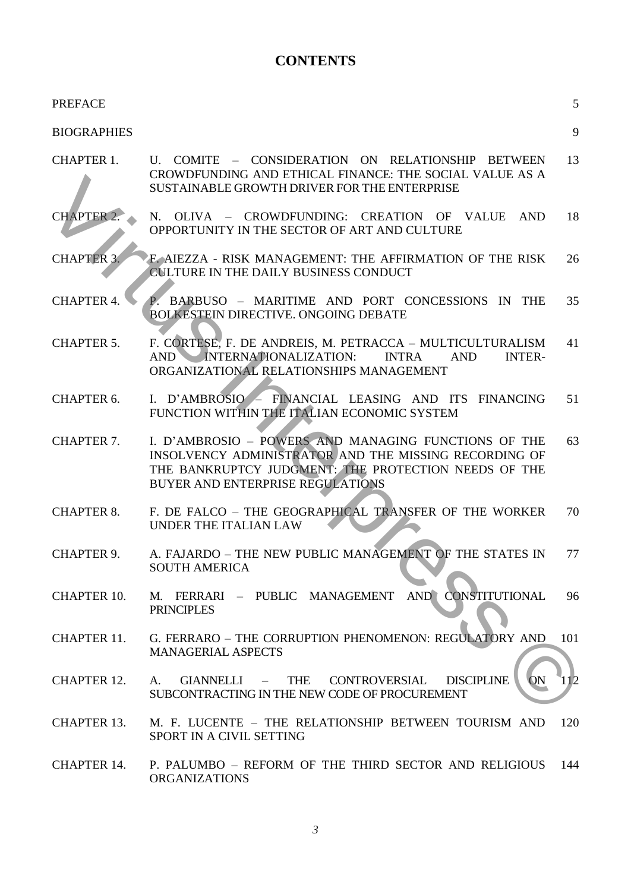## **CONTENTS**

| <b>PREFACE</b>     |                                                                                                                                                                                                                  | 5   |
|--------------------|------------------------------------------------------------------------------------------------------------------------------------------------------------------------------------------------------------------|-----|
| <b>BIOGRAPHIES</b> |                                                                                                                                                                                                                  | 9   |
| <b>CHAPTER 1.</b>  | U. COMITE - CONSIDERATION ON RELATIONSHIP BETWEEN<br>CROWDFUNDING AND ETHICAL FINANCE: THE SOCIAL VALUE AS A<br>SUSTAINABLE GROWTH DRIVER FOR THE ENTERPRISE                                                     | 13  |
| <b>CHAPTER 2.</b>  | N. OLIVA – CROWDFUNDING: CREATION OF VALUE<br>AND<br>OPPORTUNITY IN THE SECTOR OF ART AND CULTURE                                                                                                                | 18  |
| <b>CHAPTER 3.</b>  | F. AIEZZA - RISK MANAGEMENT: THE AFFIRMATION OF THE RISK<br>CULTURE IN THE DAILY BUSINESS CONDUCT                                                                                                                | 26  |
| <b>CHAPTER 4.</b>  | P. BARBUSO - MARITIME AND PORT CONCESSIONS IN THE<br><b>BOLKESTEIN DIRECTIVE. ONGOING DEBATE</b>                                                                                                                 | 35  |
| <b>CHAPTER 5.</b>  | F. CORTESE, F. DE ANDREIS, M. PETRACCA - MULTICULTURALISM<br>AND INTERNATIONALIZATION:<br><b>INTRA</b><br><b>AND</b><br><b>INTER-</b><br>ORGANIZATIONAL RELATIONSHIPS MANAGEMENT                                 | 41  |
| CHAPTER 6.         | I. D'AMBROSIO - FINANCIAL LEASING AND ITS FINANCING<br>FUNCTION WITHIN THE ITALIAN ECONOMIC SYSTEM                                                                                                               | 51  |
| <b>CHAPTER 7.</b>  | I. D'AMBROSIO - POWERS AND MANAGING FUNCTIONS OF THE<br>INSOLVENCY ADMINISTRATOR AND THE MISSING RECORDING OF<br>THE BANKRUPTCY JUDGMENT: THE PROTECTION NEEDS OF THE<br><b>BUYER AND ENTERPRISE REGULATIONS</b> | 63  |
| <b>CHAPTER 8.</b>  | F. DE FALCO - THE GEOGRAPHICAL TRANSFER OF THE WORKER<br>UNDER THE ITALIAN LAW                                                                                                                                   | 70  |
| <b>CHAPTER 9.</b>  | A. FAJARDO - THE NEW PUBLIC MANAGEMENT OF THE STATES IN<br><b>SOUTH AMERICA</b>                                                                                                                                  | 77  |
| <b>CHAPTER 10.</b> | AND CONSTITUTIONAL<br>PUBLIC MANAGEMENT<br>M. FERRARI –<br><b>PRINCIPLES</b>                                                                                                                                     | 96  |
| CHAPTER 11.        | G. FERRARO - THE CORRUPTION PHENOMENON: REGULATORY AND<br><b>MANAGERIAL ASPECTS</b>                                                                                                                              | 101 |
| CHAPTER 12.        | <b>DISCIPLINE</b><br>ON<br>CONTROVERSIAL<br><b>GIANNELLI</b><br><b>THE</b><br>A.<br>$\sim$ $-$<br>SUBCONTRACTING IN THE NEW CODE OF PROCUREMENT                                                                  |     |
| <b>CHAPTER 13.</b> | M. F. LUCENTE - THE RELATIONSHIP BETWEEN TOURISM AND<br>SPORT IN A CIVIL SETTING                                                                                                                                 | 120 |
| CHAPTER 14.        | P. PALUMBO - REFORM OF THE THIRD SECTOR AND RELIGIOUS<br><b>ORGANIZATIONS</b>                                                                                                                                    | 144 |